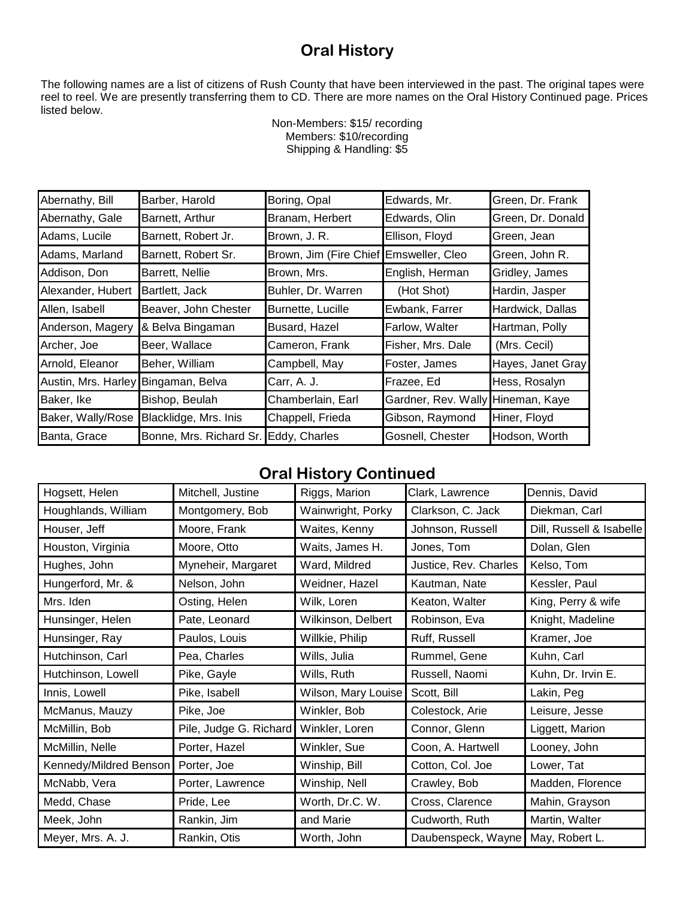## **Oral History**

The following names are a list of citizens of Rush County that have been interviewed in the past. The original tapes were reel to reel. We are presently transferring them to CD. There are more names on the Oral History Continued page. Prices listed below.

|                     | Shipping & Handling: \$5 |                        |                     |                   |  |
|---------------------|--------------------------|------------------------|---------------------|-------------------|--|
|                     |                          |                        |                     |                   |  |
| Abernathy, Bill     | Barber, Harold           | Boring, Opal           | Edwards, Mr.        | Green, Dr. Frank  |  |
| Abernathy, Gale     | Barnett, Arthur          | Branam, Herbert        | Edwards, Olin       | Green, Dr. Donald |  |
| Adams, Lucile       | Barnett, Robert Jr.      | Brown, J. R.           | Ellison, Floyd      | Green, Jean       |  |
| Adams, Marland      | Barnett, Robert Sr.      | Brown, Jim (Fire Chief | Emsweller, Cleo     | Green, John R.    |  |
| Addison, Don        | Barrett, Nellie          | Brown, Mrs.            | English, Herman     | Gridley, James    |  |
| Alexander, Hubert   | Bartlett, Jack           | Buhler, Dr. Warren     | (Hot Shot)          | Hardin, Jasper    |  |
| Allen, Isabell      | Beaver, John Chester     | Burnette, Lucille      | Ewbank, Farrer      | Hardwick, Dallas  |  |
| Anderson, Magery    | & Belva Bingaman         | Busard, Hazel          | Farlow, Walter      | Hartman, Polly    |  |
| Archer, Joe         | Beer, Wallace            | Cameron, Frank         | Fisher, Mrs. Dale   | (Mrs. Cecil)      |  |
| Arnold, Eleanor     | Beher, William           | Campbell, May          | Foster, James       | Hayes, Janet Gray |  |
| Austin, Mrs. Harley | Bingaman, Belva          | Carr, A. J.            | Frazee, Ed          | Hess, Rosalyn     |  |
| Baker, Ike          | Bishop, Beulah           | Chamberlain, Earl      | Gardner, Rev. Wally | Hineman, Kaye     |  |
| Baker, Wally/Rose   | Blacklidge, Mrs. Inis    | Chappell, Frieda       | Gibson, Raymond     | Hiner, Floyd      |  |
| Banta, Grace        | Bonne, Mrs. Richard Sr.  | Eddy, Charles          | Gosnell, Chester    | Hodson, Worth     |  |

## Non-Members: \$15/ recording Members: \$10/recording Shipping & Handling: \$5

## **Oral History Continued**

| Hogsett, Helen         | Mitchell, Justine      | Riggs, Marion       | Clark, Lawrence       | Dennis, David            |
|------------------------|------------------------|---------------------|-----------------------|--------------------------|
| Houghlands, William    | Montgomery, Bob        | Wainwright, Porky   | Clarkson, C. Jack     | Diekman, Carl            |
| Houser, Jeff           | Moore, Frank           | Waites, Kenny       | Johnson, Russell      | Dill, Russell & Isabelle |
| Houston, Virginia      | Moore, Otto            | Waits, James H.     | Jones, Tom            | Dolan, Glen              |
| Hughes, John           | Myneheir, Margaret     | Ward, Mildred       | Justice, Rev. Charles | Kelso, Tom               |
| Hungerford, Mr. &      | Nelson, John           | Weidner, Hazel      | Kautman, Nate         | Kessler, Paul            |
| Mrs. Iden              | Osting, Helen          | Wilk, Loren         | Keaton, Walter        | King, Perry & wife       |
| Hunsinger, Helen       | Pate, Leonard          | Wilkinson, Delbert  | Robinson, Eva         | Knight, Madeline         |
| Hunsinger, Ray         | Paulos, Louis          | Willkie, Philip     | Ruff, Russell         | Kramer, Joe              |
| Hutchinson, Carl       | Pea, Charles           | Wills, Julia        | Rummel, Gene          | Kuhn, Carl               |
| Hutchinson, Lowell     | Pike, Gayle            | Wills, Ruth         | Russell, Naomi        | Kuhn, Dr. Irvin E.       |
| Innis, Lowell          | Pike, Isabell          | Wilson, Mary Louise | Scott, Bill           | Lakin, Peg               |
| McManus, Mauzy         | Pike, Joe              | Winkler, Bob        | Colestock, Arie       | Leisure, Jesse           |
| McMillin, Bob          | Pile, Judge G. Richard | Winkler, Loren      | Connor, Glenn         | Liggett, Marion          |
| McMillin, Nelle        | Porter, Hazel          | Winkler, Sue        | Coon, A. Hartwell     | Looney, John             |
| Kennedy/Mildred Benson | Porter, Joe            | Winship, Bill       | Cotton, Col. Joe      | Lower, Tat               |
| McNabb, Vera           | Porter, Lawrence       | Winship, Nell       | Crawley, Bob          | Madden, Florence         |
| Medd, Chase            | Pride, Lee             | Worth, Dr.C. W.     | Cross, Clarence       | Mahin, Grayson           |
| Meek, John             | Rankin, Jim            | and Marie           | Cudworth, Ruth        | Martin, Walter           |
| Meyer, Mrs. A. J.      | Rankin, Otis           | Worth, John         | Daubenspeck, Wayne    | May, Robert L.           |